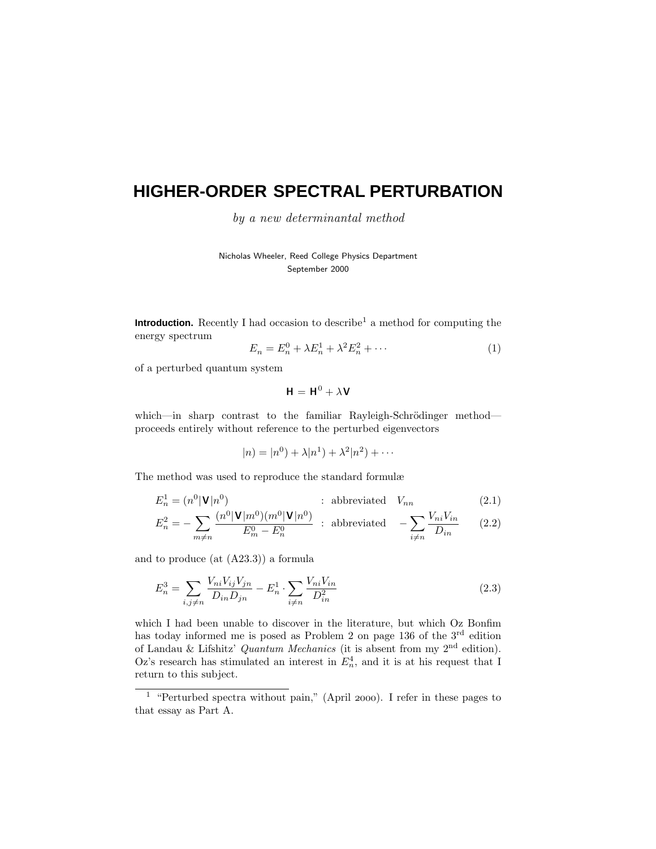# **HIGHER-ORDER SPECTRAL PERTURBATION**

by a new determinantal method

Nicholas Wheeler, Reed College Physics Department September 2000

**Introduction.** Recently I had occasion to describe<sup>1</sup> a method for computing the energy spectrum

$$
E_n = E_n^0 + \lambda E_n^1 + \lambda^2 E_n^2 + \cdots
$$
 (1)

of a perturbed quantum system

$$
\mathbf{H} = \mathbf{H}^0 + \lambda \mathbf{V}
$$

which—in sharp contrast to the familiar Rayleigh-Schrödinger method proceeds entirely without reference to the perturbed eigenvectors

$$
|n) = |n^{0}) + \lambda |n^{1}) + \lambda^{2} |n^{2}) + \cdots
$$

The method was used to reproduce the standard formulæ

$$
E_n^1 = (n^0 | \mathbf{V} | n^0) \qquad \text{subreviated} \quad V_{nn} \tag{2.1}
$$

$$
E_n^2 = -\sum_{m \neq n} \frac{(n^0 |\mathbf{V}| m^0)(m^0 |\mathbf{V}| n^0)}{E_m^0 - E_n^0} \; : \; \text{abbreviated} \quad -\sum_{i \neq n} \frac{V_{ni} V_{in}}{D_{in}} \qquad (2.2)
$$

and to produce (at (A23.3)) a formula

$$
E_n^3 = \sum_{i,j \neq n} \frac{V_{ni} V_{ij} V_{jn}}{D_{in} D_{jn}} - E_n^1 \cdot \sum_{i \neq n} \frac{V_{ni} V_{in}}{D_{in}^2}
$$
(2.3)

which I had been unable to discover in the literature, but which Oz Bonfim has today informed me is posed as Problem 2 on page 136 of the  $3<sup>rd</sup>$  edition of Landau & Lifshitz' Quantum Mechanics (it is absent from my  $2<sup>nd</sup>$  edition). Oz's research has stimulated an interest in  $E_n^4$ , and it is at his request that I return to this subject.

<sup>&</sup>lt;sup>1</sup> "Perturbed spectra without pain," (April 2000). I refer in these pages to that essay as Part A.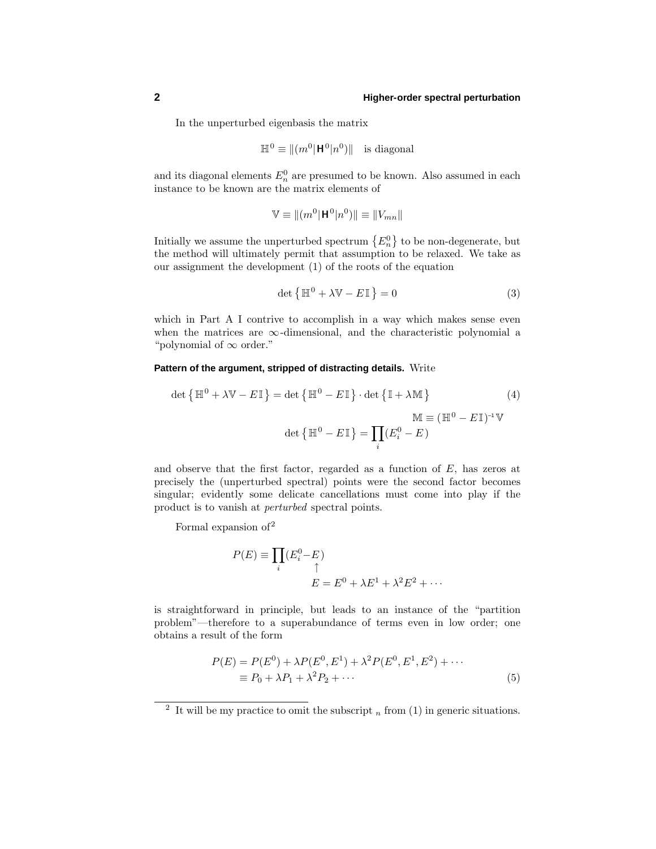In the unperturbed eigenbasis the matrix

$$
\mathbb{H}^0 \equiv ||(m^0 | \mathbf{H}^0 | n^0) ||
$$
 is diagonal

and its diagonal elements  $E_n^0$  are presumed to be known. Also assumed in each instance to be known are the matrix elements of

$$
\mathbb{V} \equiv ||(m^0|\mathbf{H}^0|n^0)|| \equiv ||V_{mn}||
$$

Initially we assume the unperturbed spectrum  $\{E_n^0\}$  to be non-degenerate, but the method will ultimately permit that assumption to be relaxed. We take as our assignment the development (1) of the roots of the equation

$$
\det\left\{\mathbb{H}^0 + \lambda \mathbb{V} - E\mathbb{I}\right\} = 0\tag{3}
$$

which in Part A I contrive to accomplish in a way which makes sense even when the matrices are  $\infty$ -dimensional, and the characteristic polynomial a "polynomial of  $\infty$  order."

#### **Pattern of the argument, stripped of distracting details.** Write

$$
\det\left\{\mathbb{H}^0 + \lambda \mathbb{V} - E\mathbb{I}\right\} = \det\left\{\mathbb{H}^0 - E\mathbb{I}\right\} \cdot \det\left\{\mathbb{I} + \lambda \mathbb{M}\right\}
$$
(4)  

$$
\mathbb{M} \equiv (\mathbb{H}^0 - E\mathbb{I})^{-1} \mathbb{V}
$$

$$
\det\left\{\mathbb{H}^0 - E\mathbb{I}\right\} = \prod_i (E_i^0 - E)
$$

and observe that the first factor, regarded as a function of *E*, has zeros at precisely the (unperturbed spectral) points were the second factor becomes singular; evidently some delicate cancellations must come into play if the product is to vanish at perturbed spectral points.

Formal expansion of 2

$$
P(E) \equiv \prod_i (E_i^0 - E)
$$
  

$$
E = E^0 + \lambda E^1 + \lambda^2 E^2 + \cdots
$$

is straightforward in principle, but leads to an instance of the "partition problem"—therefore to a superabundance of terms even in low order; one obtains a result of the form

$$
P(E) = P(E^{0}) + \lambda P(E^{0}, E^{1}) + \lambda^{2} P(E^{0}, E^{1}, E^{2}) + \cdots
$$
  
\n
$$
\equiv P_{0} + \lambda P_{1} + \lambda^{2} P_{2} + \cdots
$$
\n(5)

<sup>&</sup>lt;sup>2</sup> It will be my practice to omit the subscript  $_n$  from (1) in generic situations.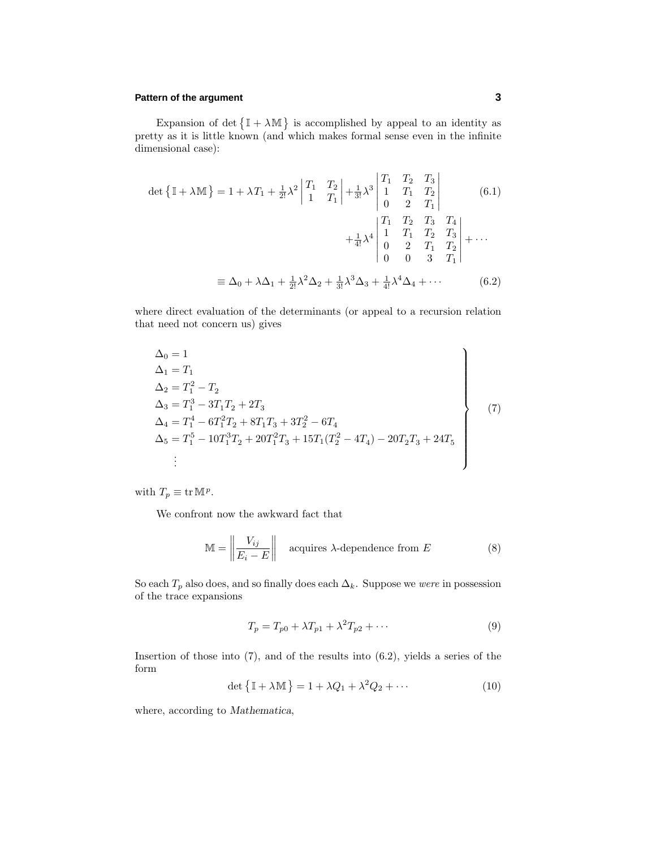## **Pattern of the argument 3**

Expansion of det  $\{ \mathbb{I} + \lambda \mathbb{M} \}$  is accomplished by appeal to an identity as pretty as it is little known (and which makes formal sense even in the infinite dimensional case):

$$
\det \{ \mathbb{I} + \lambda \mathbb{M} \} = 1 + \lambda T_1 + \frac{1}{2!} \lambda^2 \begin{vmatrix} T_1 & T_2 \\ 1 & T_1 \end{vmatrix} + \frac{1}{3!} \lambda^3 \begin{vmatrix} T_1 & T_2 & T_3 \\ 1 & T_1 & T_2 \\ 0 & 2 & T_1 \end{vmatrix}
$$
 (6.1)  

$$
+ \frac{1}{4!} \lambda^4 \begin{vmatrix} T_1 & T_2 & T_3 & T_4 \\ 1 & T_1 & T_2 & T_3 \\ 0 & 2 & T_1 & T_2 \\ 0 & 0 & 3 & T_1 \end{vmatrix} + \cdots
$$

$$
\equiv \Delta_0 + \lambda \Delta_1 + \frac{1}{2!} \lambda^2 \Delta_2 + \frac{1}{3!} \lambda^3 \Delta_3 + \frac{1}{4!} \lambda^4 \Delta_4 + \cdots
$$
 (6.2)

where direct evaluation of the determinants (or appeal to a recursion relation that need not concern us) gives

$$
\Delta_0 = 1
$$
\n
$$
\Delta_1 = T_1
$$
\n
$$
\Delta_2 = T_1^2 - T_2
$$
\n
$$
\Delta_3 = T_1^3 - 3T_1T_2 + 2T_3
$$
\n
$$
\Delta_4 = T_1^4 - 6T_1^2T_2 + 8T_1T_3 + 3T_2^2 - 6T_4
$$
\n
$$
\Delta_5 = T_1^5 - 10T_1^3T_2 + 20T_1^2T_3 + 15T_1(T_2^2 - 4T_4) - 20T_2T_3 + 24T_5
$$
\n
$$
\vdots
$$
\n(7)

with  $T_p \equiv \text{tr} \, \mathbb{M}^p$ .

We confront now the awkward fact that

$$
\mathbb{M} = \left\| \frac{V_{ij}}{E_i - E} \right\| \quad \text{acquires } \lambda \text{-dependence from } E \tag{8}
$$

So each  $T_p$  also does, and so finally does each  $\Delta_k$ . Suppose we *were* in possession of the trace expansions

$$
T_p = T_{p0} + \lambda T_{p1} + \lambda^2 T_{p2} + \cdots
$$
\n<sup>(9)</sup>

Insertion of those into  $(7)$ , and of the results into  $(6.2)$ , yields a series of the form

$$
\det\left\{\mathbb{I} + \lambda \mathbb{M}\right\} = 1 + \lambda Q_1 + \lambda^2 Q_2 + \cdots \tag{10}
$$

where, according to *Mathematica*,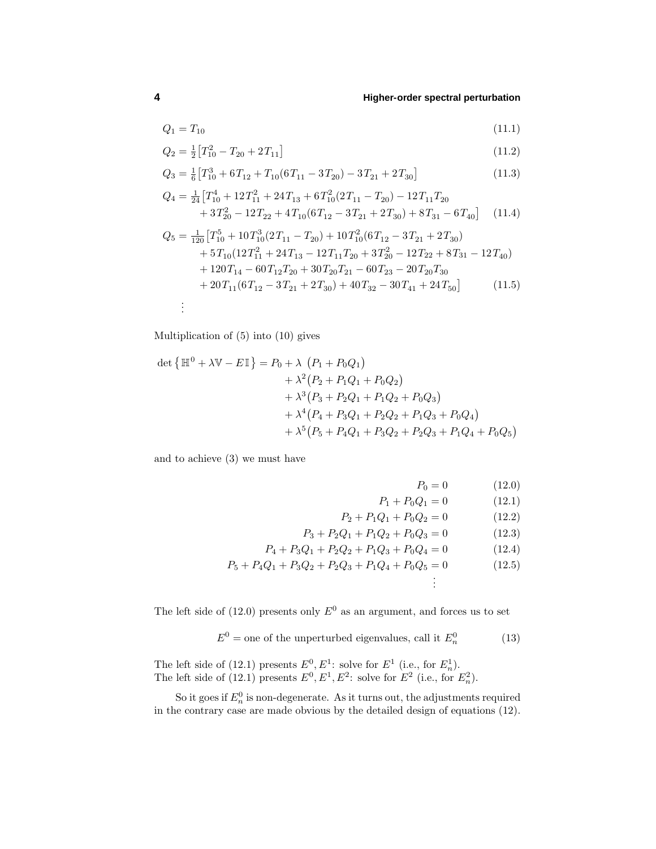$$
Q_1 = T_{10} \tag{11.1}
$$

$$
Q_2 = \frac{1}{2} \left[ T_{10}^2 - T_{20} + 2T_{11} \right] \tag{11.2}
$$

$$
Q_3 = \frac{1}{6} \left[ T_{10}^3 + 6T_{12} + T_{10} (6T_{11} - 3T_{20}) - 3T_{21} + 2T_{30} \right]
$$
(11.3)

$$
Q_4 = \frac{1}{24} \left[ T_{10}^4 + 12 T_{11}^2 + 24 T_{13} + 6 T_{10}^2 (2 T_{11} - T_{20}) - 12 T_{11} T_{20} \right. \n\left. + 3 T_{20}^2 - 12 T_{22} + 4 T_{10} (6 T_{12} - 3 T_{21} + 2 T_{30}) + 8 T_{31} - 6 T_{40} \right] \tag{11.4}
$$
\n
$$
Q_5 = \frac{1}{120} \left[ T_{10}^5 + 10 T_{10}^3 (2 T_{11} - T_{20}) + 10 T_{10}^2 (6 T_{12} - 3 T_{21} + 2 T_{30}) + 5 T_{10} (12 T_{11}^2 + 24 T_{13} - 12 T_{11} T_{20} + 3 T_{20}^2 - 12 T_{22} + 8 T_{31} - 12 T_{40} \right)
$$

+ 
$$
120T_{14} - 60T_{12}T_{20} + 30T_{20}T_{21} - 60T_{23} - 20T_{20}T_{30}
$$
  
+  $20T_{11}(6T_{12} - 3T_{21} + 2T_{30}) + 40T_{32} - 30T_{41} + 24T_{50}$  (11.5)

Multiplication of (5) into (10) gives

$$
\det \{ \mathbb{H}^0 + \lambda \mathbb{V} - E\mathbb{I} \} = P_0 + \lambda (P_1 + P_0 Q_1)
$$
  
+  $\lambda^2 (P_2 + P_1 Q_1 + P_0 Q_2)$   
+  $\lambda^3 (P_3 + P_2 Q_1 + P_1 Q_2 + P_0 Q_3)$   
+  $\lambda^4 (P_4 + P_3 Q_1 + P_2 Q_2 + P_1 Q_3 + P_0 Q_4)$   
+  $\lambda^5 (P_5 + P_4 Q_1 + P_3 Q_2 + P_2 Q_3 + P_1 Q_4 + P_0 Q_5)$ 

and to achieve (3) we must have

$$
P_0 = 0 \tag{12.0}
$$

$$
P_1 + P_0 Q_1 = 0 \tag{12.1}
$$

$$
P_2 + P_1 Q_1 + P_0 Q_2 = 0 \tag{12.2}
$$

. . .

$$
P_3 + P_2 Q_1 + P_1 Q_2 + P_0 Q_3 = 0 \tag{12.3}
$$

$$
P_4 + P_3 Q_1 + P_2 Q_2 + P_1 Q_3 + P_0 Q_4 = 0 \tag{12.4}
$$

$$
P_5 + P_4Q_1 + P_3Q_2 + P_2Q_3 + P_1Q_4 + P_0Q_5 = 0 \tag{12.5}
$$

The left side of  $(12.0)$  presents only  $E^0$  as an argument, and forces us to set

$$
E^0 = \text{one of the unperturbed eigenvalues, call it } E_n^0 \tag{13}
$$

The left side of (12.1) presents  $E^0, E^1$ : solve for  $E^1$  (i.e., for  $E_n^1$ ). The left side of (12.1) presents  $E^0, E^1, E^2$ : solve for  $E^2$  (i.e., for  $E_n^2$ ).

So it goes if  $E_n^0$  is non-degenerate. As it turns out, the adjustments required in the contrary case are made obvious by the detailed design of equations (12).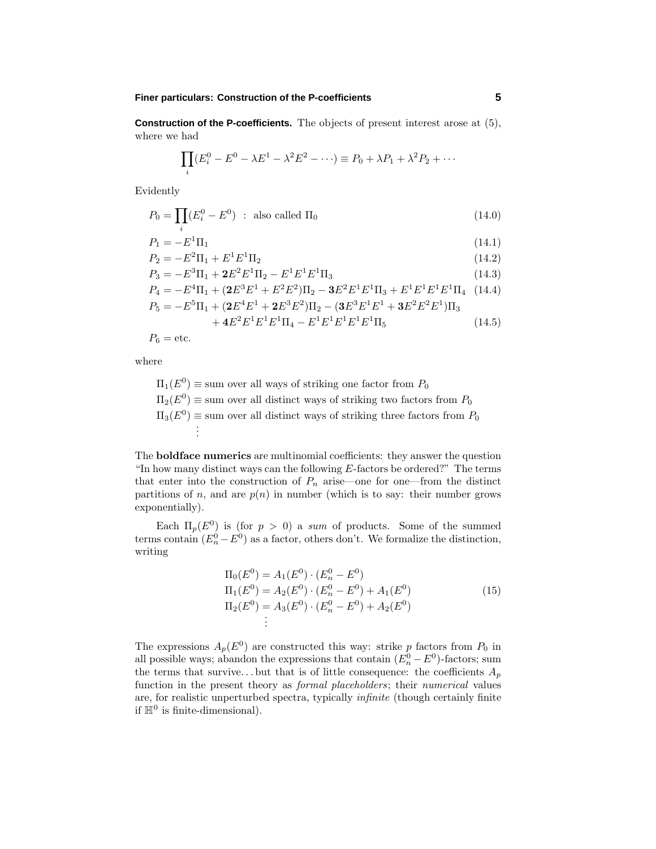### **Finer particulars: Construction of the P-coefficients 5**

**Construction of the P-coefficients.** The objects of present interest arose at (5), where we had

$$
\prod_i (E_i^0 - E^0 - \lambda E^1 - \lambda^2 E^2 - \cdots) \equiv P_0 + \lambda P_1 + \lambda^2 P_2 + \cdots
$$

Evidently

$$
P_0 = \prod_i (E_i^0 - E^0) \quad \text{: also called } \Pi_0 \tag{14.0}
$$

$$
P_1 = -E^1 \Pi_1 \tag{14.1}
$$

$$
P_2 = -E^2 \Pi_1 + E^1 E^1 \Pi_2 \tag{14.2}
$$

$$
P_3 = -E^3 \Pi_1 + 2E^2 E^1 \Pi_2 - E^1 E^1 E^1 \Pi_3 \tag{14.3}
$$

$$
P_4 = -E^4 \Pi_1 + (2E^3 E^1 + E^2 E^2) \Pi_2 - 3E^2 E^1 E^1 \Pi_3 + E^1 E^1 E^1 E^1 \Pi_4 \quad (14.4)
$$

$$
P_5 = -E^5\Pi_1 + ({\bf 2}E^4E^1 + {\bf 2}E^3E^2)\Pi_2 - ({\bf 3}E^3E^1E^1 + {\bf 3}E^2E^2E^1)\Pi_3
$$

$$
+4E^{2}E^{1}E^{1}E^{1}\Pi_{4}-E^{1}E^{1}E^{1}E^{1}E^{1}\Pi_{5}
$$
\n(14.5)

 $P_6 =$  etc.

where

$$
\Pi_1(E^0) \equiv \text{sum over all ways of striking one factor from } P_0
$$
  
\n
$$
\Pi_2(E^0) \equiv \text{sum over all distinct ways of striking two factors from } P_0
$$
  
\n
$$
\Pi_3(E^0) \equiv \text{sum over all distinct ways of striking three factors from } P_0
$$
  
\n
$$
\vdots
$$

The **boldface numerics** are multinomial coefficients: they answer the question "In how many distinct ways can the following *E*-factors be ordered?" The terms that enter into the construction of  $P_n$  arise—one for one—from the distinct partitions of *n*, and are  $p(n)$  in number (which is to say: their number grows exponentially).

Each  $\Pi_p(E^0)$  is (for  $p > 0$ ) a sum of products. Some of the summed terms contain  $(E_n^0 - E^0)$  as a factor, others don't. We formalize the distinction, writing

$$
\Pi_0(E^0) = A_1(E^0) \cdot (E_n^0 - E^0)
$$
  
\n
$$
\Pi_1(E^0) = A_2(E^0) \cdot (E_n^0 - E^0) + A_1(E^0)
$$
  
\n
$$
\Pi_2(E^0) = A_3(E^0) \cdot (E_n^0 - E^0) + A_2(E^0)
$$
  
\n
$$
\vdots
$$
\n(15)

The expressions  $A_p(E^0)$  are constructed this way: strike *p* factors from  $P_0$  in all possible ways; abandon the expressions that contain  $(E_n^0 - E^0)$ -factors; sum the terms that survive...but that is of little consequence: the coefficients  $A_p$ function in the present theory as *formal placeholders*; their *numerical* values are, for realistic unperturbed spectra, typically infinite (though certainly finite if  $\mathbb{H}^0$  is finite-dimensional).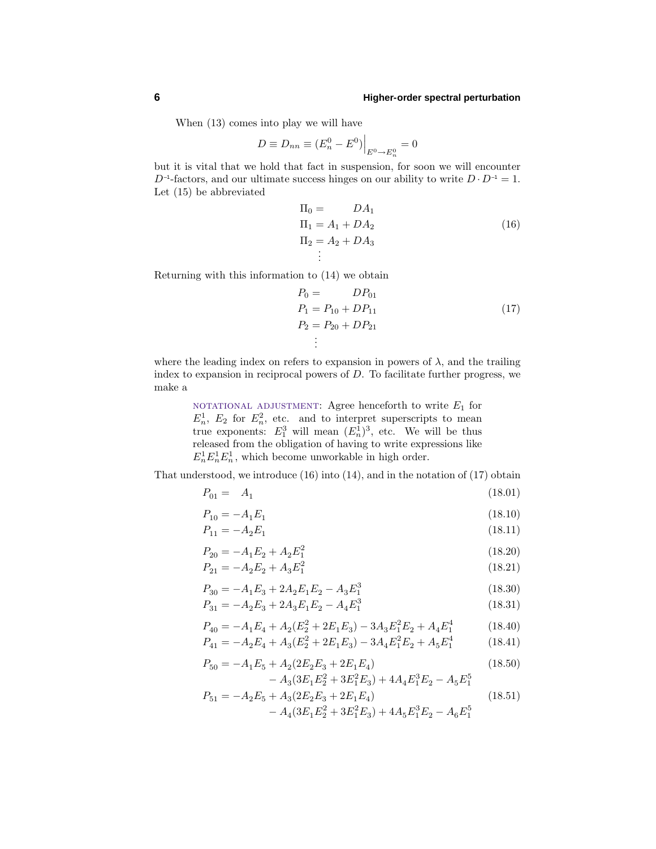When (13) comes into play we will have

$$
D \equiv D_{nn} \equiv (E_n^0 - E^0) \Big|_{E^0 \to E_n^0} = 0
$$

but it is vital that we hold that fact in suspension, for soon we will encounter  $D^{-1}$ -factors, and our ultimate success hinges on our ability to write  $D \cdot D^{-1} = 1$ . Let (15) be abbreviated

$$
\Pi_0 = DA_1
$$
  
\n
$$
\Pi_1 = A_1 + DA_2
$$
  
\n
$$
\Pi_2 = A_2 + DA_3
$$
  
\n
$$
\vdots
$$
\n(16)

Returning with this information to (14) we obtain

$$
P_0 = D P_{01}
$$
  
\n
$$
P_1 = P_{10} + D P_{11}
$$
  
\n
$$
P_2 = P_{20} + D P_{21}
$$
  
\n
$$
\vdots
$$
  
\n(17)

where the leading index on refers to expansion in powers of  $\lambda$ , and the trailing index to expansion in reciprocal powers of *D*. To facilitate further progress, we make a

> NOTATIONAL ADJUSTMENT: Agree henceforth to write  $E_1$  for  $E_n^1$ ,  $E_2$  for  $E_n^2$ , etc. and to interpret superscripts to mean true exponents:  $E_1^3$  will mean  $(E_n^1)^3$ , etc. We will be thus released from the obligation of having to write expressions like  $E_n^1 E_n^1 E_n^1$ , which become unworkable in high order.

That understood, we introduce (16) into (14), and in the notation of (17) obtain

$$
P_{01} = A_1 \tag{18.01}
$$

$$
P_{10} = -A_1 E_1 \tag{18.10}
$$

$$
P_{11} = -A_2 E_1 \tag{18.11}
$$

$$
P_{20} = -A_1 E_2 + A_2 E_1^2 \tag{18.20}
$$

$$
P_{21} = -A_2 E_2 + A_3 E_1^2 \tag{18.21}
$$

$$
P_{30} = -A_1 E_3 + 2A_2 E_1 E_2 - A_3 E_1^3 \tag{18.30}
$$

$$
P_{31} = -A_2 E_3 + 2A_3 E_1 E_2 - A_4 E_1^3 \tag{18.31}
$$

$$
P_{40} = -A_1 E_4 + A_2 (E_2^2 + 2E_1 E_3) - 3A_3 E_1^2 E_2 + A_4 E_1^4 \tag{18.40}
$$

$$
P_{41} = -A_2 E_4 + A_3 (E_2^2 + 2E_1 E_3) - 3A_4 E_1^2 E_2 + A_5 E_1^4 \tag{18.41}
$$

$$
P_{50} = -A_1 E_5 + A_2 (2E_2 E_3 + 2E_1 E_4)
$$
  
- 
$$
A_3 (3E_1 E_2^2 + 3E_1^2 E_3) + 4A_4 E_1^3 E_2 - A_5 E_1^5
$$
 (18.50)

$$
P_{51} = -A_2 E_5 + A_3 (2E_2 E_3 + 2E_1 E_4)
$$
\n
$$
- A_4 (3E_1 E_2^2 + 3E_1^2 E_3) + 4A_5 E_1^3 E_2 - A_6 E_1^5
$$
\n(18.51)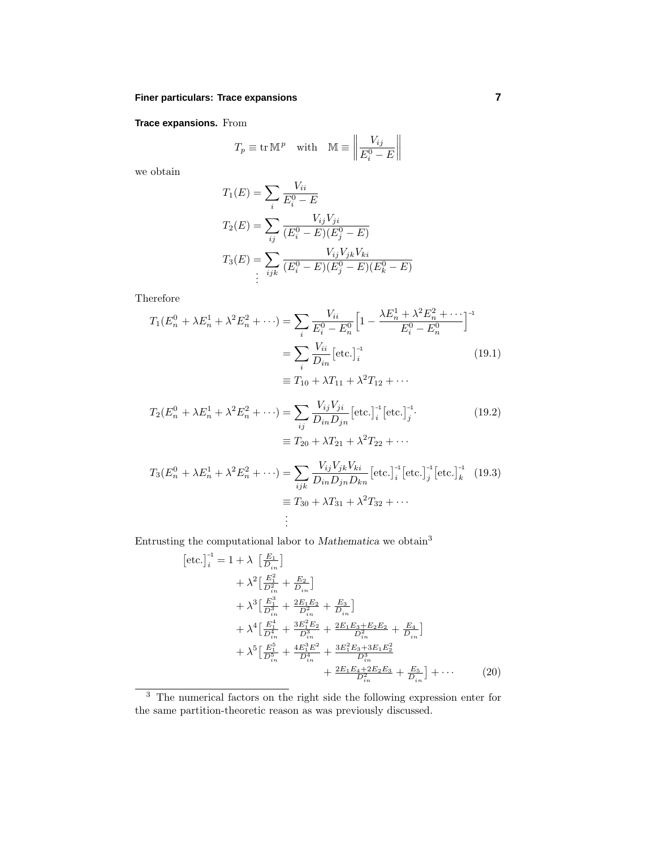# **Finer particulars: Trace expansions 7**

# **Trace expansions.** From

$$
T_p \equiv \text{tr} \,\mathbb{M}^p \quad \text{with} \quad \mathbb{M} \equiv \left\| \frac{V_{ij}}{E_i^0 - E} \right\|
$$

we obtain

$$
T_1(E) = \sum_i \frac{V_{ii}}{E_i^0 - E}
$$
  
\n
$$
T_2(E) = \sum_{ij} \frac{V_{ij}V_{ji}}{(E_i^0 - E)(E_j^0 - E)}
$$
  
\n
$$
T_3(E) = \sum_{ijk} \frac{V_{ij}V_{jk}V_{ki}}{(E_i^0 - E)(E_j^0 - E)(E_k^0 - E)}
$$
  
\n
$$
\vdots
$$

Therefore

$$
T_1(E_n^0 + \lambda E_n^1 + \lambda^2 E_n^2 + \cdots) = \sum_i \frac{V_{ii}}{E_i^0 - E_n^0} \left[ 1 - \frac{\lambda E_n^1 + \lambda^2 E_n^2 + \cdots}{E_i^0 - E_n^0} \right]^{-1}
$$
  
= 
$$
\sum_i \frac{V_{ii}}{D_{in}} \left[ \text{etc.} \right]_i^{-1}
$$
  

$$
\equiv T_{10} + \lambda T_{11} + \lambda^2 T_{12} + \cdots
$$
 (19.1)

$$
T_2(E_n^0 + \lambda E_n^1 + \lambda^2 E_n^2 + \cdots) = \sum_{ij} \frac{V_{ij} V_{ji}}{D_{in} D_{jn}} \left[ \text{etc.} \right]_i^{-1} \left[ \text{etc.} \right]_j^{-1}.
$$
\n
$$
\equiv T_{20} + \lambda T_{21} + \lambda^2 T_{22} + \cdots
$$
\n
$$
T_3(E_n^0 + \lambda E_n^1 + \lambda^2 E_n^2 + \cdots) = \sum_{ijk} \frac{V_{ij} V_{jk} V_{ki}}{D_{in} D_{jn} D_{kn}} \left[ \text{etc.} \right]_i^{-1} \left[ \text{etc.} \right]_j^{-1} \left[ \text{etc.} \right]_k^{-1} \quad (19.3)
$$
\n
$$
\equiv T_{30} + \lambda T_{31} + \lambda^2 T_{32} + \cdots
$$
\n
$$
\vdots
$$
\n(19.2)

Entrusting the computational labor to *Mathematica* we obtain<sup>3</sup>

$$
[\text{etc.}]_{i}^{-1} = 1 + \lambda \left[\frac{E_{1}}{D_{in}}\right] + \lambda^{2} \left[\frac{E_{1}^{2}}{D_{in}^{2}} + \frac{E_{2}}{D_{in}}\right] + \lambda^{3} \left[\frac{B_{1}^{3}}{D_{in}^{3}} + \frac{2E_{1}E_{2}}{D_{in}^{2}} + \frac{E_{3}}{D_{in}}\right] + \lambda^{4} \left[\frac{E_{1}^{4}}{D_{in}^{4}} + \frac{3E_{1}^{2}E_{2}}{D_{in}^{3}} + \frac{2E_{1}E_{3} + E_{2}E_{2}}{D_{in}^{2}} + \frac{E_{4}}{D_{in}}\right] + \lambda^{5} \left[\frac{E_{1}^{5}}{D_{in}^{5}} + \frac{4E_{1}^{3}E^{2}}{D_{in}^{4}} + \frac{3E_{1}^{2}E_{3} + 3E_{1}E_{2}^{2}}{D_{in}^{3}} + \frac{2E_{1}E_{4} + 2E_{2}E_{3}}{D_{in}^{2}} + \frac{E_{5}}{D_{in}^{2}}\right] + \cdots
$$
(20)

<sup>3</sup> The numerical factors on the right side the following expression enter for the same partition-theoretic reason as was previously discussed.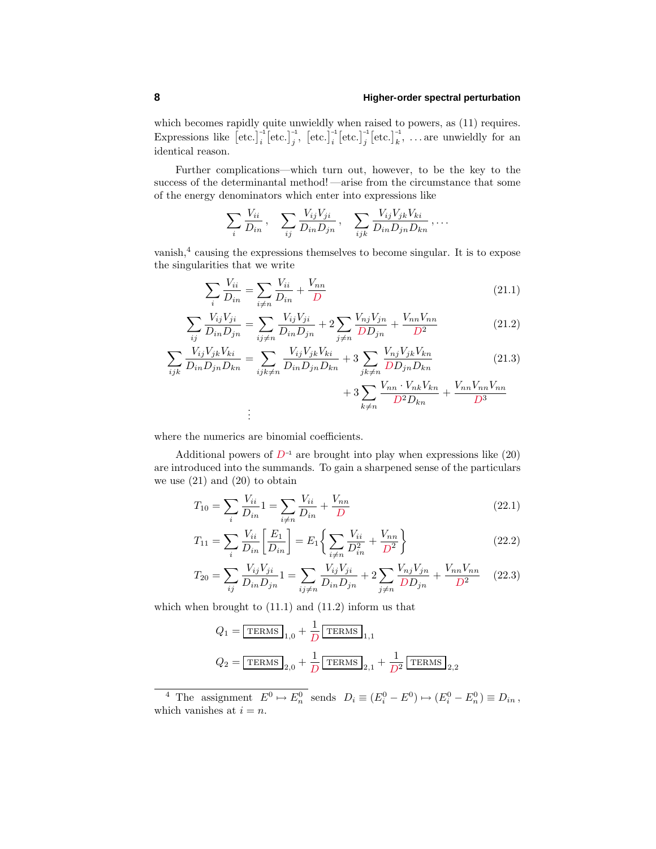which becomes rapidly quite unwieldly when raised to powers, as  $(11)$  requires. Expressions like  $[\text{etc.}]_i^{-1} [\text{etc.}]_j^{-1} [\text{etc.}]_i^{-1} [\text{etc.}]_k^{-1} [\text{etc.}]_k^{-1}$ , ... are unwieldly for an identical reason.

Further complications—which turn out, however, to be the key to the success of the determinantal method! —arise from the circumstance that some of the energy denominators which enter into expressions like

$$
\sum_i \frac{V_{ii}}{D_{in}}, \quad \sum_{ij} \frac{V_{ij}V_{ji}}{D_{in}D_{jn}}, \quad \sum_{ijk} \frac{V_{ij}V_{jk}V_{ki}}{D_{in}D_{jn}D_{kn}}, \ldots
$$

vanish,<sup>4</sup> causing the expressions themselves to become singular. It is to expose the singularities that we write

$$
\sum_{i} \frac{V_{ii}}{D_{in}} = \sum_{i \neq n} \frac{V_{ii}}{D_{in}} + \frac{V_{nn}}{D}
$$
\n(21.1)

$$
\sum_{ij} \frac{V_{ij} V_{ji}}{D_{in} D_{jn}} = \sum_{ij \neq n} \frac{V_{ij} V_{ji}}{D_{in} D_{jn}} + 2 \sum_{j \neq n} \frac{V_{nj} V_{jn}}{D D_{jn}} + \frac{V_{nn} V_{nn}}{D^2}
$$
(21.2)

$$
\sum_{ijk} \frac{V_{ij} V_{jk} V_{ki}}{D_{in} D_{jn} D_{kn}} = \sum_{ijk \neq n} \frac{V_{ij} V_{jk} V_{ki}}{D_{in} D_{jn} D_{kn}} + 3 \sum_{jk \neq n} \frac{V_{nj} V_{jk} V_{kn}}{D D_{jn} D_{kn}} \tag{21.3}
$$

$$
+ 3\sum_{k \neq n} \frac{V_{nn} \cdot V_{nk} V_{kn}}{D^2 D_{kn}} + \frac{V_{nn} V_{nn} V_{nn}}{D^3}
$$

$$
\vdots
$$

where the numerics are binomial coefficients.

Additional powers of  $D^{-1}$  are brought into play when expressions like  $(20)$ are introduced into the summands. To gain a sharpened sense of the particulars we use  $(21)$  and  $(20)$  to obtain

$$
T_{10} = \sum_{i} \frac{V_{ii}}{D_{in}} 1 = \sum_{i \neq n} \frac{V_{ii}}{D_{in}} + \frac{V_{nn}}{D}
$$
\n(22.1)

$$
T_{11} = \sum_{i} \frac{V_{ii}}{D_{in}} \left[ \frac{E_1}{D_{in}} \right] = E_1 \left\{ \sum_{i \neq n} \frac{V_{ii}}{D_{in}^2} + \frac{V_{nn}}{D^2} \right\}
$$
 (22.2)

$$
T_{20} = \sum_{ij} \frac{V_{ij} V_{ji}}{D_{in} D_{jn}} 1 = \sum_{ij \neq n} \frac{V_{ij} V_{ji}}{D_{in} D_{jn}} + 2 \sum_{j \neq n} \frac{V_{nj} V_{jn}}{D_{jn}} + \frac{V_{nn} V_{nn}}{D^2}
$$
(22.3)

which when brought to  $(11.1)$  and  $(11.2)$  inform us that

$$
Q_1 = \boxed{\text{TERMS}}_{1,0} + \frac{1}{D} \boxed{\text{TERMS}}_{1,1}
$$

$$
Q_2 = \boxed{\text{TERMS}}_{2,0} + \frac{1}{D} \boxed{\text{TERMS}}_{2,1} + \frac{1}{D^2} \boxed{\text{TERMS}}_{2,2}
$$

<sup>4</sup> The assignment  $E^0 \to E_n^0$  sends  $D_i \equiv (E_i^0 - E^0) \to (E_i^0 - E_n^0) \equiv D_{in}$ , which vanishes at  $i = n$ .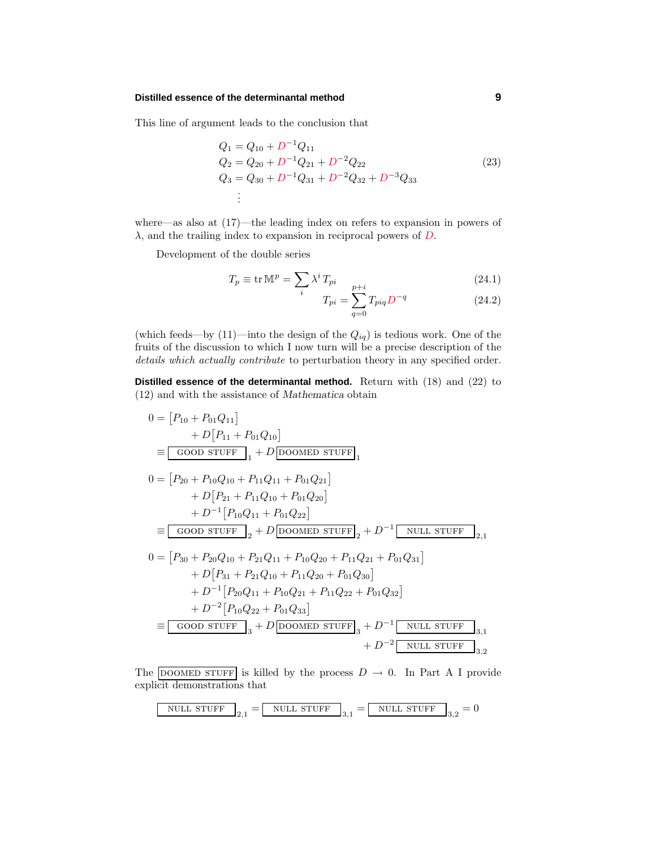#### **Distilled essence of the determinantal method 9**

This line of argument leads to the conclusion that

$$
Q_1 = Q_{10} + D^{-1}Q_{11}
$$
  
\n
$$
Q_2 = Q_{20} + D^{-1}Q_{21} + D^{-2}Q_{22}
$$
  
\n
$$
Q_3 = Q_{30} + D^{-1}Q_{31} + D^{-2}Q_{32} + D^{-3}Q_{33}
$$
  
\n:  
\n
$$
\vdots
$$
\n(23)

where—as also at (17)—the leading index on refers to expansion in powers of *λ*, and the trailing index to expansion in reciprocal powers of *D*.

Development of the double series

$$
T_p \equiv \text{tr}\,\mathbb{M}^p = \sum_i \lambda^i \, T_{pi} \qquad p+i \tag{24.1}
$$

$$
T_{pi} = \sum_{q=0} T_{piq} D^{-q}
$$
 (24.2)

(which feeds—by  $(11)$ —into the design of the  $Q_{iq}$ ) is tedious work. One of the fruits of the discussion to which I now turn will be a precise description of the details which actually contribute to perturbation theory in any specified order.

**Distilled essence of the determinantal method.** Return with (18) and (22) to (12) and with the assistance of *Mathematica* obtain

$$
0 = [P_{10} + P_{01}Q_{11}] + D[P_{11} + P_{01}Q_{10}] = [6000 \text{ stUFF}]_1 + D[DOOMED STUFF]_1 0 = [P_{20} + P_{10}Q_{10} + P_{11}Q_{11} + P_{01}Q_{21}] + D[P_{21} + P_{11}Q_{10} + P_{01}Q_{20}] + D^{-1}[P_{10}Q_{11} + P_{01}Q_{22}] = [6000 \text{ stUFF}]_2 + D[DOOMED STUFF]_2 + D^{-1}[NULL STUFF]_{2,1} 0 = [P_{30} + P_{20}Q_{10} + P_{21}Q_{11} + P_{10}Q_{20} + P_{11}Q_{21} + P_{01}Q_{31}] + D[P_{31} + P_{21}Q_{10} + P_{11}Q_{20} + P_{01}Q_{30}] + D^{-1}[P_{20}Q_{11} + P_{10}Q_{21} + P_{11}Q_{22} + P_{01}Q_{32}] + D^{-2}[P_{10}Q_{22} + P_{01}Q_{33}] = [6000 \text{ stUFF}]_3 + D[DOOMED STUFF]_3 + D^{-2}[NULL STUFF]_{3,2}
$$

The DOOMED STUFF is killed by the process  $D \rightarrow 0$ . In Part A I provide explicit demonstrations that

$$
\boxed{\text{NULL STUFF}}_{2,1} = \boxed{\text{NULL STUFF}}_{3,1} = \boxed{\text{NULL STUFF}}_{3,2} = 0
$$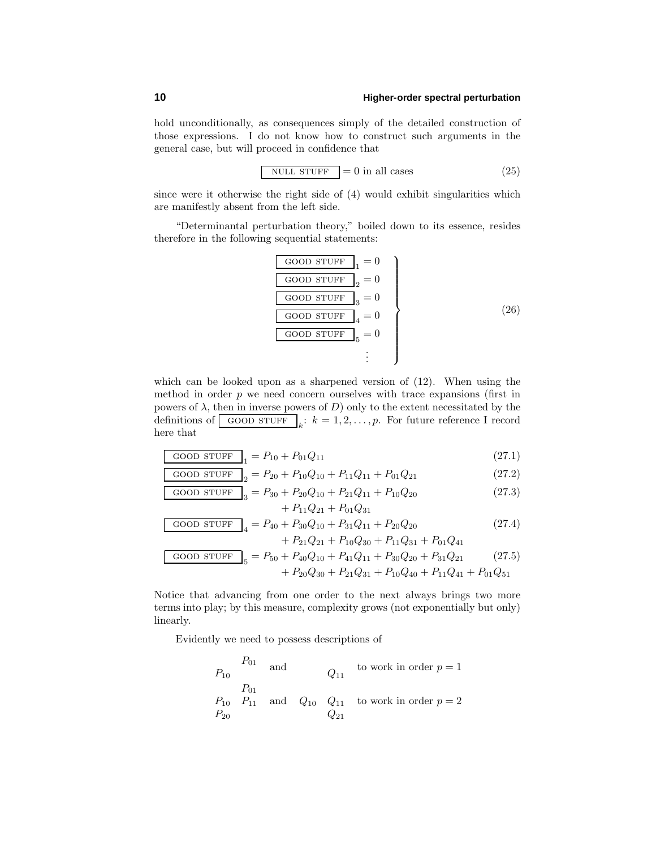hold unconditionally, as consequences simply of the detailed construction of those expressions. I do not know how to construct such arguments in the general case, but will proceed in confidence that

$$
NULL STUFF = 0 in all cases
$$
 (25)

since were it otherwise the right side of (4) would exhibit singularities which are manifestly absent from the left side.

"Determinantal perturbation theory," boiled down to its essence, resides therefore in the following sequential statements:

$$
\begin{array}{c}\n\hline\n\text{GOOD STUFF} \\
\hline\n\text{GOOD STUFF} \\
2 = 0 \\
\hline\n\text{GOOD STUFF} \\
3 = 0 \\
\hline\n\text{GOOD STUFF} \\
4 = 0 \\
\hline\n\text{GOOD STUFF} \\
5 = 0 \\
\hline\n\end{array}
$$
\n(26)

which can be looked upon as a sharpened version of (12). When using the method in order  $p$  we need concern ourselves with trace expansions (first in powers of  $\lambda$ , then in inverse powers of *D*) only to the extent necessitated by the definitions of  $\boxed{\text{GOOD STUFF}}_k: k = 1, 2, \ldots, p$ . For future reference I record here that

$$
GOOD STUFF_{1} = P_{10} + P_{01}Q_{11}
$$
\n(27.1)

$$
GOOD STUFF \Big]_2 = P_{20} + P_{10}Q_{10} + P_{11}Q_{11} + P_{01}Q_{21}
$$
 (27.2)

$$
\frac{\text{GOOD STUFF}}{3} = P_{30} + P_{20}Q_{10} + P_{21}Q_{11} + P_{10}Q_{20}
$$
\n
$$
+ P_{11}Q_{21} + P_{01}Q_{31}
$$
\n(27.3)

$$
\begin{array}{|c|c|c|c|c|c|c|}\n\hline\n\text{GOOD STUFF} & = P_{40} + P_{30}Q_{10} + P_{31}Q_{11} + P_{20}Q_{20} & (27.4) \\
& + P_{21}Q_{21} + P_{10}Q_{30} + P_{11}Q_{31} + P_{01}Q_{41} & \\
\hline\n\text{GOOD STUFF} & = P_{50} + P_{40}Q_{10} + P_{41}Q_{11} + P_{30}Q_{20} + P_{31}Q_{21} & (27.5) \\
& + P_{20}Q_{30} + P_{21}Q_{31} + P_{10}Q_{40} + P_{11}Q_{41} + P_{01}Q_{51}\n\hline\n\end{array}
$$

Notice that advancing from one order to the next always brings two more terms into play; by this measure, complexity grows (not exponentially but only) linearly.

Evidently we need to possess descriptions of

$$
P_{01} \t\t and \t\t Q_{11} \t\t to work in order  $p = 1$   
\n
$$
P_{01} \t\t P_{10} \t\t P_{11} \t\t and \t\t Q_{10} \t\t Q_{11} \t\t to work in order  $p = 2$   
\n
$$
P_{20} \t\t Q_{21}
$$
$$
$$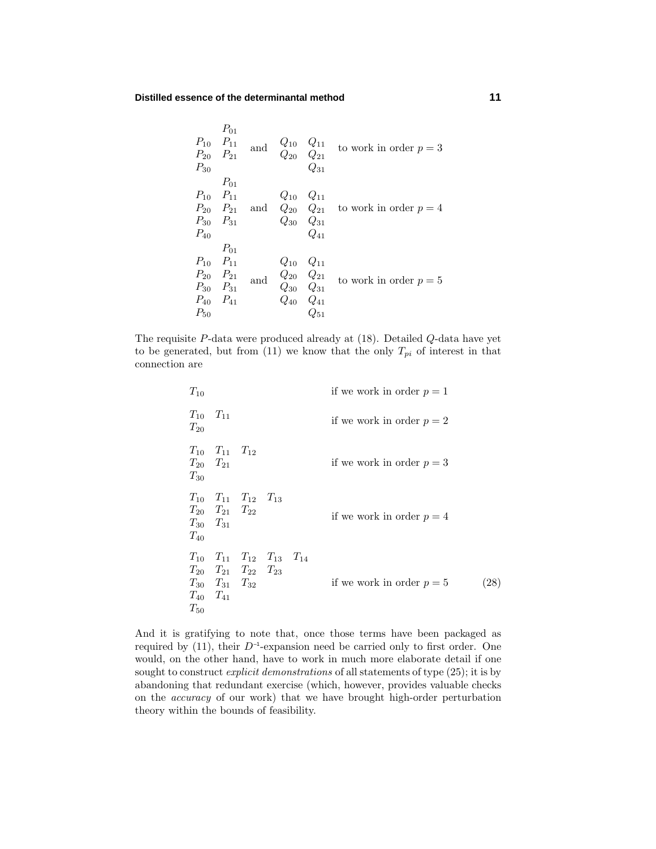| $P_{30}$                      | $P_{01}$<br>$P_{10}$ $P_{11}$<br>$P_{20}$ $P_{21}$                      | and | $\begin{array}{cc} Q_{10} & Q_{11} \\ Q_{20} & Q_{21} \end{array}$      | $Q_{31}$             | to work in order $p = 3$                                       |
|-------------------------------|-------------------------------------------------------------------------|-----|-------------------------------------------------------------------------|----------------------|----------------------------------------------------------------|
| $P_{40}$                      | $P_{01}$<br>$P_{10}$ $P_{11}$<br>$P_{30}$ $P_{31}$                      |     | $Q_{10}$ $Q_{11}$<br>$Q_{30}$ $Q_{31}$                                  | $Q_{41}$             | $P_{20}$ $P_{21}$ and $Q_{20}$ $Q_{21}$ to work in order $p=4$ |
| $P_{40}$ $P_{41}$<br>$P_{50}$ | $P_{01}$<br>$P_{10}$ $P_{11}$<br>$P_{20}$ $P_{21}$<br>$P_{30}$ $P_{31}$ | and | $Q_{10}$ $Q_{11}$<br>$Q_{20}$ $Q_{21}$<br>$Q_{30}$ $Q_{31}$<br>$Q_{40}$ | $Q_{41}$<br>$Q_{51}$ | to work in order $p = 5$                                       |

The requisite *P*-data were produced already at (18). Detailed *Q*-data have yet to be generated, but from  $(11)$  we know that the only  $T_{pi}$  of interest in that connection are

| $T_{10}$ |                                                                                                                                        |  | if we work in order $p = 1$ |                    |
|----------|----------------------------------------------------------------------------------------------------------------------------------------|--|-----------------------------|--------------------|
| $T_{20}$ | $T_{10}$ $T_{11}$                                                                                                                      |  | if we work in order $p = 2$ |                    |
| $T_{30}$ | $T_{10}$ $T_{11}$ $T_{12}$<br>$T_{20}$ $T_{21}$                                                                                        |  | if we work in order $p=3$   |                    |
| $T_{40}$ | $T_{10}$ $T_{11}$ $T_{12}$ $T_{13}$<br>$T_{20}$ $T_{21}$ $T_{22}$<br>$T_{30}$ $T_{31}$                                                 |  | if we work in order $p = 4$ |                    |
| $T_{50}$ | $T_{10}$ $T_{11}$ $T_{12}$ $T_{13}$ $T_{14}$<br>$T_{20}$ $T_{21}$ $T_{22}$ $T_{23}$<br>$T_{30}$ $T_{31}$ $T_{32}$<br>$T_{40}$ $T_{41}$ |  | if we work in order $p = 5$ | $\left( 28\right)$ |

And it is gratifying to note that, once those terms have been packaged as required by (11), their  $D^{-1}$ -expansion need be carried only to first order. One would, on the other hand, have to work in much more elaborate detail if one sought to construct explicit demonstrations of all statements of type (25); it is by abandoning that redundant exercise (which, however, provides valuable checks on the accuracy of our work) that we have brought high-order perturbation theory within the bounds of feasibility.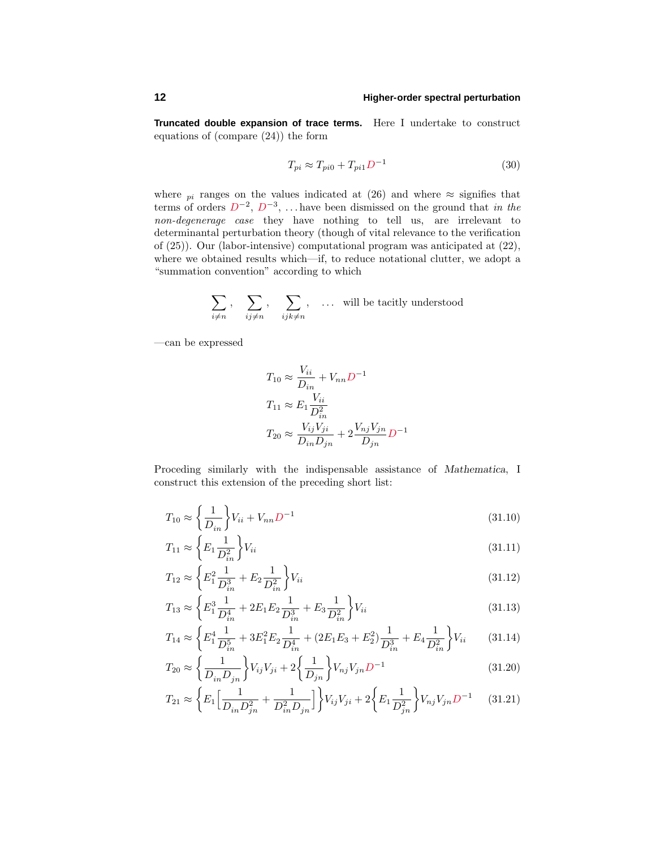**Truncated double expansion of trace terms.** Here I undertake to construct equations of (compare (24)) the form

$$
T_{pi} \approx T_{pi0} + T_{pi1} D^{-1}
$$
\n
$$
(30)
$$

where  $pi$  ranges on the values indicated at (26) and where  $\approx$  signifies that terms of orders *D*−2, *D*−3, *...* have been dismissed on the ground that in the non-degenerage case they have nothing to tell us, are irrelevant to determinantal perturbation theory (though of vital relevance to the verification of (25)). Our (labor-intensive) computational program was anticipated at (22), where we obtained results which—if, to reduce notational clutter, we adopt a "summation convention" according to which

$$
\sum_{i \neq n} \, , \quad \sum_{ij \neq n} \, , \quad \sum_{ijk \neq n} \, , \quad \dots \text{ will be tacitly understood}
$$

—can be expressed

$$
T_{10} \approx \frac{V_{ii}}{D_{in}} + V_{nn}D^{-1}
$$
  
\n
$$
T_{11} \approx E_1 \frac{V_{ii}}{D_{in}^2}
$$
  
\n
$$
T_{20} \approx \frac{V_{ij}V_{ji}}{D_{in}D_{jn}} + 2\frac{V_{nj}V_{jn}}{D_{jn}}D^{-1}
$$

Proceding similarly with the indispensable assistance of *Mathematica*, I construct this extension of the preceding short list:

$$
T_{10} \approx \left\{ \frac{1}{D_{in}} \right\} V_{ii} + V_{nn} D^{-1}
$$
\n(31.10)

$$
T_{11} \approx \left\{ E_1 \frac{1}{D_{in}^2} \right\} V_{ii} \tag{31.11}
$$

$$
T_{12} \approx \left\{ E_1^2 \frac{1}{D_{in}^3} + E_2 \frac{1}{D_{in}^2} \right\} V_{ii}
$$
\n(31.12)

$$
T_{13} \approx \left\{ E_1^3 \frac{1}{D_{in}^4} + 2E_1 E_2 \frac{1}{D_{in}^3} + E_3 \frac{1}{D_{in}^2} \right\} V_{ii}
$$
\n(31.13)

$$
T_{14} \approx \left\{ E_1^4 \frac{1}{D_{in}^5} + 3E_1^2 E_2 \frac{1}{D_{in}^4} + (2E_1 E_3 + E_2^2) \frac{1}{D_{in}^3} + E_4 \frac{1}{D_{in}^2} \right\} V_{ii}
$$
 (31.14)

$$
T_{20} \approx \left\{ \frac{1}{D_{in} D_{jn}} \right\} V_{ij} V_{ji} + 2 \left\{ \frac{1}{D_{jn}} \right\} V_{nj} V_{jn} D^{-1}
$$
\n(31.20)

$$
T_{21} \approx \left\{ E_1 \left[ \frac{1}{D_{in} D_{jn}^2} + \frac{1}{D_{in}^2 D_{jn}} \right] \right\} V_{ij} V_{ji} + 2 \left\{ E_1 \frac{1}{D_{jn}^2} \right\} V_{nj} V_{jn} D^{-1}
$$
 (31.21)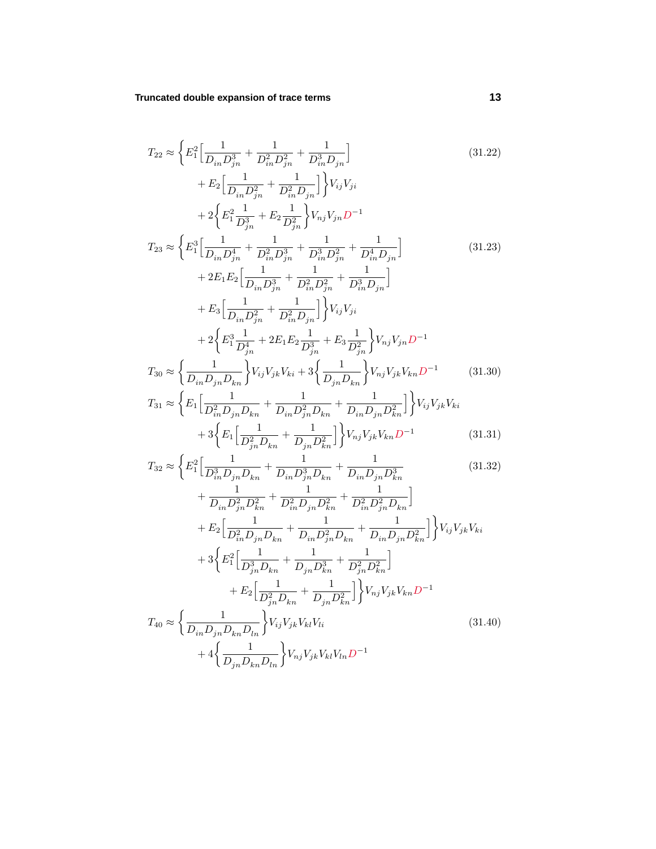$$
T_{22} \approx \left\{ E_1^2 \left[ \frac{1}{D_{in} D_{jn}^3} + \frac{1}{D_{in}^2 D_{jn}^2} + \frac{1}{D_{in}^3 D_{jn}} \right] \right\}
$$
\n
$$
+ E_2 \left[ \frac{1}{D_{in} D_{jn}^2} + \frac{1}{D_{in}^2 D_{jn}} \right] \right\} V_{ij} V_{ji}
$$
\n
$$
+ 2 \left\{ E_1^2 \frac{1}{D_{jn}^3} + E_2 \frac{1}{D_{jn}^2} \right\} V_{nj} V_{jn} D^{-1}
$$
\n
$$
T_{23} \approx \left\{ E_1^3 \left[ \frac{1}{D_{in} D_{jn}^4} + \frac{1}{D_{in}^2 D_{jn}^3} + \frac{1}{D_{in}^3 D_{jn}^2} + \frac{1}{D_{in}^4 D_{jn}} \right] \right\}
$$
\n
$$
+ 2 E_1 E_2 \left[ \frac{1}{D_{in} D_{jn}^3} + \frac{1}{D_{in}^2 D_{jn}^2} + \frac{1}{D_{in}^3 D_{jn}} \right]
$$
\n
$$
+ E_3 \left[ \frac{1}{D_{in} D_{jn}^2} + \frac{1}{D_{in}^2 D_{jn}} \right] \right\} V_{ij} V_{ji}
$$
\n
$$
(31.23)
$$

$$
+ 2\left\{E_1^3 \frac{1}{D_{jn}^4} + 2E_1 E_2 \frac{1}{D_{jn}^3} + E_3 \frac{1}{D_{jn}^2}\right\} V_{nj} V_{jn} D^{-1}
$$

$$
T_{30} \approx \left\{\frac{1}{D_{in} D_{jn} D_{kn}}\right\} V_{ij} V_{jk} V_{ki} + 3\left\{\frac{1}{D_{jn} D_{kn}}\right\} V_{nj} V_{jk} V_{kn} D^{-1}
$$
(31.30)

$$
T_{31} \approx \left\{ E_1 \left[ \frac{1}{D_{in}^2 D_{jn} D_{kn}} + \frac{1}{D_{in} D_{jn}^2 D_{kn}} + \frac{1}{D_{in} D_{jn} D_{jn}^2 D_{kn}^2} \right] \right\} V_{ij} V_{jk} V_{ki} + 3 \left\{ E_1 \left[ \frac{1}{D_{jn}^2 D_{kn}} + \frac{1}{D_{jn} D_{kn}^2} \right] \right\} V_{nj} V_{jk} V_{kn} D^{-1}
$$
(31.31)

$$
T_{32} \approx \left\{ E_1^2 \left[ \frac{1}{D_{in}^3 D_{jn} D_{kn}} + \frac{1}{D_{in} D_{jn}^3 D_{kn}} + \frac{1}{D_{in} D_{jn} D_{jn}^3 D_{kn}^3} + \frac{1}{D_{in} D_{jn} D_{jn}^2 D_{kn}^2} + \frac{1}{D_{in}^2 D_{jn}^2 D_{kn}^2} + \frac{1}{D_{in}^2 D_{jn}^2 D_{kn}^2} \right\}
$$
(31.32)

$$
L_{in}L_{jn}L_{kn} = L_{in}L_{jn}L_{kn} = L_{in}L_{jn}L_{kn}.
$$
  
+
$$
E_{2}\left[\frac{1}{D_{in}^{2}D_{jn}D_{kn}} + \frac{1}{D_{in}D_{jn}^{2}D_{kn}} + \frac{1}{D_{in}D_{jn}D_{kn}^{2}}\right]V_{ij}V_{jk}V_{ki}
$$
  
+
$$
3\left\{E_{1}^{2}\left[\frac{1}{D_{jn}^{3}D_{kn}} + \frac{1}{D_{jn}D_{kn}^{3}} + \frac{1}{D_{jn}^{2}D_{kn}^{2}}\right] + E_{2}\left[\frac{1}{D_{jn}^{2}D_{kn}} + \frac{1}{D_{jn}D_{kn}^{2}}\right]V_{nj}V_{jk}V_{kn}D^{-1}
$$
  

$$
T_{40} \approx \left\{\frac{1}{D_{in}D_{jn}D_{kn}D_{ln}}\right\}V_{ij}V_{jk}V_{kl}V_{li}
$$
(31.40)  
+
$$
4\left\{\frac{1}{D_{jn}D_{kn}D_{ln}}\right\}V_{nj}V_{jk}V_{kl}V_{ln}D^{-1}
$$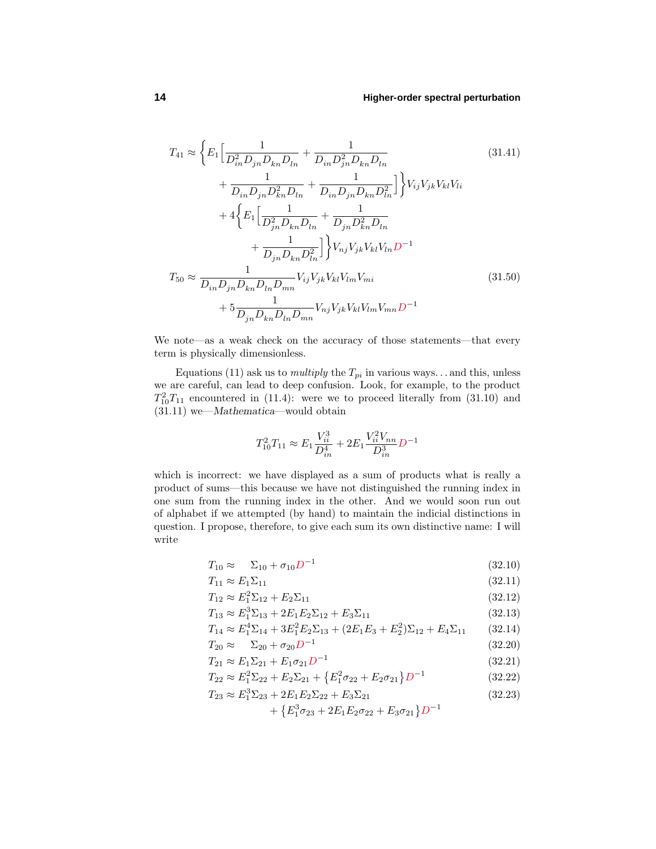$$
T_{41} \approx \left\{ E_1 \left[ \frac{1}{D_{in}^2 D_{jn} D_{kn} D_{ln}} + \frac{1}{D_{in} D_{jn}^2 D_{kn} D_{ln}} \right. \right. \tag{31.41}
$$
\n
$$
+ \frac{1}{D_{in} D_{jn} D_{kn}^2 D_{ln}} + \frac{1}{D_{in} D_{jn} D_{jn} D_{kn} D_{ln}^2} \right] \left\} V_{ij} V_{jk} V_{kl} V_{li} + 4 \left\{ E_1 \left[ \frac{1}{D_{jn}^2 D_{kn} D_{ln}} + \frac{1}{D_{jn} D_{kn}^2 D_{ln}} \right. \right. \right. \left. + \frac{1}{D_{jn} D_{kn} D_{ln}^2} \right] \left\} V_{nj} V_{jk} V_{kl} V_{ln} D^{-1}
$$
\n
$$
T_{50} \approx \frac{1}{D_{in} D_{jn} D_{kn} D_{ln} D_{mn}} V_{ij} V_{jk} V_{kl} V_{lm} V_{mi} \tag{31.50}
$$
\n
$$
+ 5 \frac{1}{D_{jn} D_{kn} D_{ln} D_{mn}} V_{nj} V_{jk} V_{kl} V_{lm} V_{mn} D^{-1}
$$

We note—as a weak check on the accuracy of those statements—that every term is physically dimensionless.

Equations (11) ask us to *multiply* the  $T_{pi}$  in various ways... and this, unless we are careful, can lead to deep confusion. Look, for example, to the product  $T_{10}^2 T_{11}$  encountered in (11.4): were we to proceed literally from (31.10) and (31.11) we—*Mathematica*—would obtain

$$
T_{10}^2T_{11}\approx E_1\frac{V_{ii}^3}{D_{in}^4}+2E_1\frac{V_{ii}^2V_{nn}}{D_{in}^3}D^{-1}
$$

which is incorrect: we have displayed as a sum of products what is really a product of sums—this because we have not distinguished the running index in one sum from the running index in the other. And we would soon run out of alphabet if we attempted (by hand) to maintain the indicial distinctions in question. I propose, therefore, to give each sum its own distinctive name: I will write

$$
T_{10} \approx \Sigma_{10} + \sigma_{10} D^{-1} \tag{32.10}
$$

$$
T_{11} \approx E_1 \Sigma_{11} \tag{32.11}
$$

$$
T_{12} \approx E_1^2 \Sigma_{12} + E_2 \Sigma_{11} \tag{32.12}
$$

$$
T_{13} \approx E_1^3 \Sigma_{13} + 2E_1 E_2 \Sigma_{12} + E_3 \Sigma_{11}
$$
\n(32.13)

$$
T_{14} \approx E_1^4 \Sigma_{14} + 3E_1^2 E_2 \Sigma_{13} + (2E_1 E_3 + E_2^2) \Sigma_{12} + E_4 \Sigma_{11}
$$
 (32.14)

$$
T_{20} \approx \Sigma_{20} + \sigma_{20} D^{-1} \tag{32.20}
$$

$$
T_{21} \approx E_1 \Sigma_{21} + E_1 \sigma_{21} D^{-1} \tag{32.21}
$$

$$
T_{22} \approx E_1^2 \Sigma_{22} + E_2 \Sigma_{21} + \{E_1^2 \sigma_{22} + E_2 \sigma_{21}\} D^{-1}
$$
 (32.22)

$$
T_{23} \approx E_1^3 \Sigma_{23} + 2E_1 E_2 \Sigma_{22} + E_3 \Sigma_{21}
$$
\n
$$
(32.23)
$$
\n
$$
[F^3 \tau + 2F F \tau + F \tau + 2F \tau + 2F^2]
$$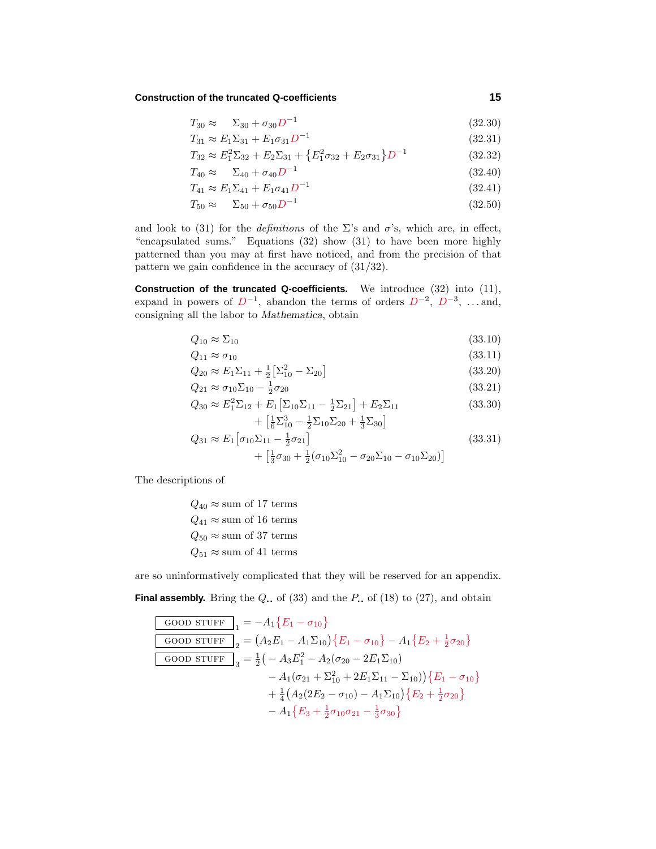# **Construction of the truncated Q-coefficients 15**

$$
T_{30} \approx \Sigma_{30} + \sigma_{30} D^{-1} \tag{32.30}
$$

$$
T_{31} \approx E_1 \Sigma_{31} + E_1 \sigma_{31} D^{-1} \tag{32.31}
$$

$$
T_{32} \approx E_1^2 \Sigma_{32} + E_2 \Sigma_{31} + \{E_1^2 \sigma_{32} + E_2 \sigma_{31}\} D^{-1}
$$
 (32.32)

$$
T_{40} \approx \Sigma_{40} + \sigma_{40} D^{-1} \tag{32.40}
$$

$$
T_{41} \approx E_1 \Sigma_{41} + E_1 \sigma_{41} D^{-1} \tag{32.41}
$$

$$
T_{50} \approx \Sigma_{50} + \sigma_{50} D^{-1} \tag{32.50}
$$

and look to (31) for the *definitions* of the  $\Sigma$ 's and  $\sigma$ 's, which are, in effect, "encapsulated sums." Equations (32) show (31) to have been more highly patterned than you may at first have noticed, and from the precision of that pattern we gain confidence in the accuracy of (31/32).

**Construction of the truncated Q-coefficients.** We introduce (32) into (11), expand in powers of  $D^{-1}$ , abandon the terms of orders  $D^{-2}$ ,  $D^{-3}$ , *...* and, consigning all the labor to *Mathematica*, obtain

$$
Q_{10} \approx \Sigma_{10} \tag{33.10}
$$

$$
Q_{11} \approx \sigma_{10} \tag{33.11}
$$

$$
Q_{20} \approx E_1 \Sigma_{11} + \frac{1}{2} \left[ \Sigma_{10}^2 - \Sigma_{20} \right]
$$
\n(33.20)\n  
\n(33.21)

$$
Q_{21} \approx \sigma_{10} \Sigma_{10} - \frac{1}{2} \sigma_{20}
$$
\n
$$
Q_{30} \approx E_1^2 \Sigma_{12} + E_1 [\Sigma_{10} \Sigma_{11} - \frac{1}{2} \Sigma_{21}] + E_2 \Sigma_{11}
$$
\n(33.30)

$$
+ \left[\frac{1}{6}\Sigma_{10}^3 - \frac{1}{2}\Sigma_{10}\Sigma_{20} + \frac{1}{3}\Sigma_{30}\right]
$$
  
\n
$$
Q_{31} \approx E_1 \left[\sigma_{10}\Sigma_{11} - \frac{1}{2}\sigma_{21}\right]
$$
  
\n
$$
+ \left[\frac{1}{3}\sigma_{30} + \frac{1}{2}(\sigma_{10}\Sigma_{10}^2 - \sigma_{20}\Sigma_{10} - \sigma_{10}\Sigma_{20})\right]
$$
\n(33.31)

The descriptions of

$$
Q_{40} \approx
$$
 sum of 17 terms  
\n $Q_{41} \approx$  sum of 16 terms  
\n $Q_{50} \approx$  sum of 37 terms  
\n $Q_{51} \approx$  sum of 41 terms

are so uninformatively complicated that they will be reserved for an appendix.

**Final assembly.** Bring the  $Q_$  of (33) and the  $P_$  of (18) to (27), and obtain

GOOD STUFF 
$$
\frac{1}{1} = -A_1 \{ E_1 - \sigma_{10} \}
$$
  
\nGOOD STUFF 
$$
{}_{2} = (A_2 E_1 - A_1 \Sigma_{10}) \{ E_1 - \sigma_{10} \} - A_1 \{ E_2 + \frac{1}{2} \sigma_{20} \}
$$
  
\nGOOD STUFF 
$$
{}_{3} = \frac{1}{2} \left( -A_3 E_1^2 - A_2 (\sigma_{20} - 2E_1 \Sigma_{10}) - A_1 (\sigma_{21} + \Sigma_{10}^2 + 2E_1 \Sigma_{11} - \Sigma_{10}) \right) \{ E_1 - \sigma_{10} \}
$$
  
\n
$$
+ \frac{1}{4} (A_2 (2E_2 - \sigma_{10}) - A_1 \Sigma_{10}) \{ E_2 + \frac{1}{2} \sigma_{20} \}
$$
  
\n
$$
- A_1 \{ E_3 + \frac{1}{2} \sigma_{10} \sigma_{21} - \frac{1}{3} \sigma_{30} \}
$$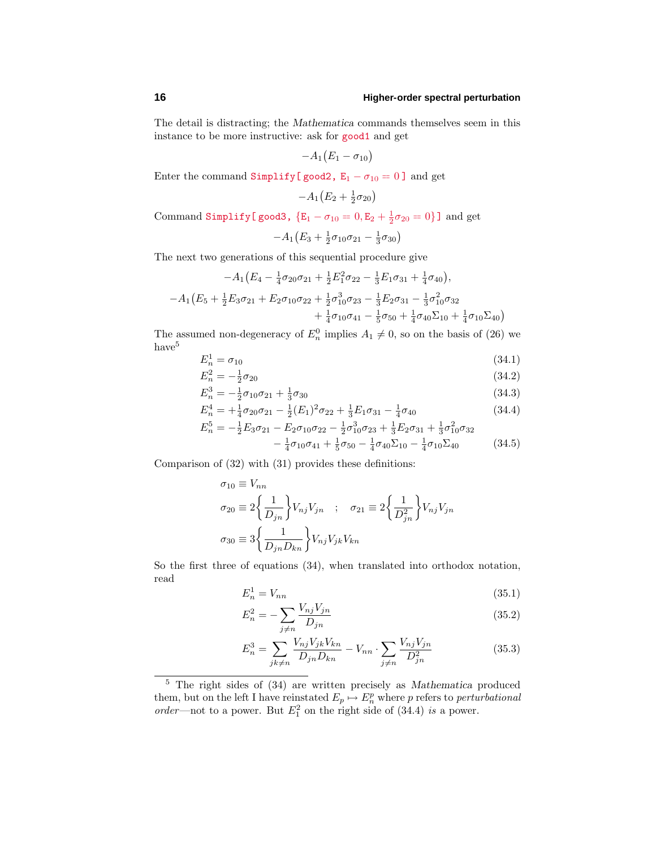The detail is distracting; the *Mathematica* commands themselves seem in this instance to be more instructive: ask for good1 and get

$$
-A_1(E_1-\sigma_{10})
$$

Enter the command Simplify[good2,  $E_1 - \sigma_{10} = 0$ ] and get

 $-A_1(E_2 + \frac{1}{2}\sigma_{20})$ 

Command Simplify[good3,  ${E_1 - \sigma_{10} = 0, E_2 + \frac{1}{2}\sigma_{20} = 0}$ ] and get

$$
-A_1(E_3 + \frac{1}{2}\sigma_{10}\sigma_{21} - \frac{1}{3}\sigma_{30})
$$

The next two generations of this sequential procedure give

$$
-A_1(E_4 - \frac{1}{4}\sigma_{20}\sigma_{21} + \frac{1}{2}E_1^2\sigma_{22} - \frac{1}{3}E_1\sigma_{31} + \frac{1}{4}\sigma_{40}),
$$
  

$$
-A_1(E_5 + \frac{1}{2}E_3\sigma_{21} + E_2\sigma_{10}\sigma_{22} + \frac{1}{2}\sigma_{10}^3\sigma_{23} - \frac{1}{3}E_2\sigma_{31} - \frac{1}{3}\sigma_{10}^2\sigma_{32} + \frac{1}{4}\sigma_{10}\sigma_{41} - \frac{1}{5}\sigma_{50} + \frac{1}{4}\sigma_{40}\Sigma_{10} + \frac{1}{4}\sigma_{10}\Sigma_{40})
$$

The assumed non-degeneracy of  $E_n^0$  implies  $A_1 \neq 0$ , so on the basis of (26) we have<sup>5</sup>

$$
E_n^1 = \sigma_{10} \tag{34.1}
$$

$$
E_n^2 = -\frac{1}{2}\sigma_{20} \tag{34.2}
$$

$$
E_n^3 = -\frac{1}{2}\sigma_{10}\sigma_{21} + \frac{1}{3}\sigma_{30} \tag{34.3}
$$

$$
E_n^4 = +\frac{1}{4}\sigma_{20}\sigma_{21} - \frac{1}{2}(E_1)^2\sigma_{22} + \frac{1}{3}E_1\sigma_{31} - \frac{1}{4}\sigma_{40}
$$
(34.4)

$$
E_n^5 = -\frac{1}{2}E_3\sigma_{21} - E_2\sigma_{10}\sigma_{22} - \frac{1}{2}\sigma_{10}^3\sigma_{23} + \frac{1}{3}E_2\sigma_{31} + \frac{1}{3}\sigma_{10}^2\sigma_{32} - \frac{1}{4}\sigma_{10}\sigma_{41} + \frac{1}{5}\sigma_{50} - \frac{1}{4}\sigma_{40}\Sigma_{10} - \frac{1}{4}\sigma_{10}\Sigma_{40}
$$
 (34.5)

Comparison of (32) with (31) provides these definitions:

$$
\sigma_{10} \equiv V_{nn}
$$
  
\n
$$
\sigma_{20} \equiv 2 \left\{ \frac{1}{D_{jn}} \right\} V_{nj} V_{jn} \quad ; \quad \sigma_{21} \equiv 2 \left\{ \frac{1}{D_{jn}^2} \right\} V_{nj} V_{jn}
$$
  
\n
$$
\sigma_{30} \equiv 3 \left\{ \frac{1}{D_{jn} D_{kn}} \right\} V_{nj} V_{jk} V_{kn}
$$

So the first three of equations (34), when translated into orthodox notation, read

$$
E_n^1 = V_{nn} \tag{35.1}
$$

$$
E_n^2 = -\sum_{j \neq n} \frac{V_{nj} V_{jn}}{D_{jn}}\tag{35.2}
$$

$$
E_n^3 = \sum_{jk \neq n} \frac{V_{nj} V_{jk} V_{kn}}{D_{jn} D_{kn}} - V_{nn} \cdot \sum_{j \neq n} \frac{V_{nj} V_{jn}}{D_{jn}^2}
$$
(35.3)

<sup>5</sup> The right sides of (34) are written precisely as *Mathematica* produced them, but on the left I have reinstated  $E_p \mapsto E_n^p$  where *p* refers to *perturbational* order—not to a power. But  $E_1^2$  on the right side of (34.4) is a power.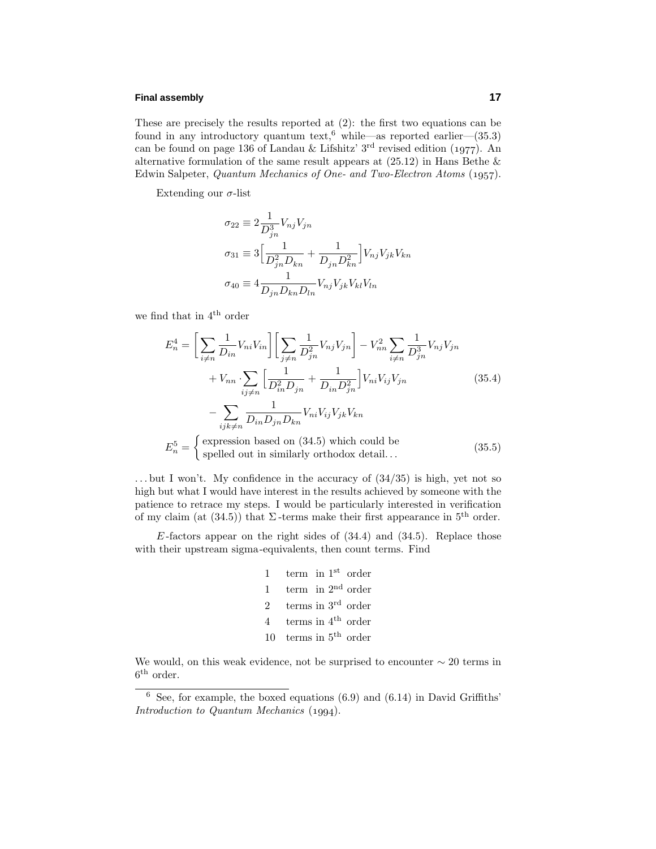# **Final assembly 17**

These are precisely the results reported at (2): the first two equations can be found in any introductory quantum text,<sup>6</sup> while—as reported earlier—(35.3) can be found on page 136 of Landau & Lifshitz' 3<sup>rd</sup> revised edition (1977). An alternative formulation of the same result appears at  $(25.12)$  in Hans Bethe  $\&$ Edwin Salpeter, Quantum Mechanics of One- and Two-Electron Atoms (1957).

Extending our *σ*-list

$$
\sigma_{22} \equiv 2 \frac{1}{D_{jn}^{3}} V_{nj} V_{jn}
$$
  
\n
$$
\sigma_{31} \equiv 3 \left[ \frac{1}{D_{jn}^{2} D_{kn}} + \frac{1}{D_{jn} D_{kn}^{2}} \right] V_{nj} V_{jk} V_{kn}
$$
  
\n
$$
\sigma_{40} \equiv 4 \frac{1}{D_{jn} D_{kn} D_{ln}} V_{nj} V_{jk} V_{kl} V_{ln}
$$

we find that in 4th order

$$
E_n^4 = \left[\sum_{i \neq n} \frac{1}{D_{in}} V_{ni} V_{in}\right] \left[\sum_{j \neq n} \frac{1}{D_{jn}^2} V_{nj} V_{jn}\right] - V_{nn}^2 \sum_{i \neq n} \frac{1}{D_{jn}^3} V_{nj} V_{jn}
$$
  
+  $V_{nn} \sum_{ij \neq n} \left[\frac{1}{D_{in}^2 D_{jn}} + \frac{1}{D_{in} D_{jn}^2}\right] V_{ni} V_{ij} V_{jn}$  (35.4)  
-  $\sum_{ijk \neq n} \frac{1}{D_{in} D_{jn} D_{kn}} V_{ni} V_{ij} V_{jk} V_{kn}$   
 $E_n^5 = \begin{cases} \text{expression based on (34.5) which could be} \\ \text{spelled out in similarly orthodox detail...} \end{cases}$  (35.5)

*...* but I won't. My confidence in the accuracy of (34/35) is high, yet not so high but what I would have interest in the results achieved by someone with the patience to retrace my steps. I would be particularly interested in verification of my claim (at  $(34.5)$ ) that  $\Sigma$ -terms make their first appearance in  $5<sup>th</sup>$  order.

 $E$ -factors appear on the right sides of  $(34.4)$  and  $(34.5)$ . Replace those with their upstream sigma-equivalents, then count terms. Find

| $\mathbf{1}$             | term in $1st$ order               |  |  |
|--------------------------|-----------------------------------|--|--|
| 1                        | term in $2nd$ order               |  |  |
| $\mathfrak{D}$           | terms in $3rd$ order              |  |  |
| $\overline{\mathcal{A}}$ | terms in $4^{\text{th}}$ order    |  |  |
|                          | 10 terms in $5^{\text{th}}$ order |  |  |

We would, on this weak evidence, not be surprised to encounter  $\sim 20$  terms in 6th order.

 $6$  See, for example, the boxed equations (6.9) and (6.14) in David Griffiths' Introduction to Quantum Mechanics  $(1994)$ .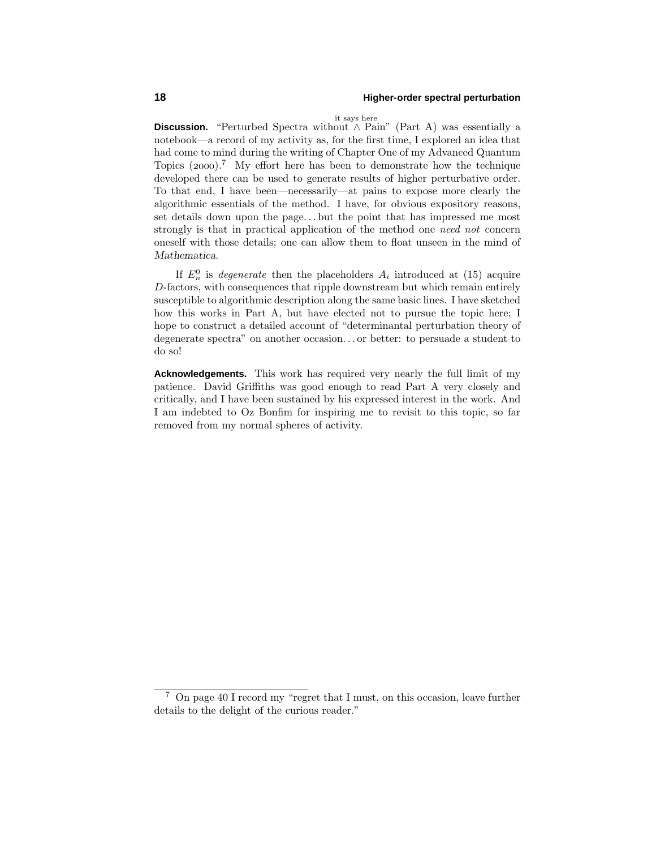it says here

Discussion. "Perturbed Spectra without ∧ Pain" (Part A) was essentially a notebook—a record of my activity as, for the first time, I explored an idea that had come to mind during the writing of Chapter One of my Advanced Quantum Topics  $(2000).$ <sup>7</sup> My effort here has been to demonstrate how the technique developed there can be used to generate results of higher perturbative order. To that end, I have been—necessarily—at pains to expose more clearly the algorithmic essentials of the method. I have, for obvious expository reasons, set details down upon the page*...* but the point that has impressed me most strongly is that in practical application of the method one need not concern oneself with those details; one can allow them to float unseen in the mind of *Mathematica*.

If  $E_n^0$  is *degenerate* then the placeholders  $A_i$  introduced at (15) acquire *D*-factors, with consequences that ripple downstream but which remain entirely susceptible to algorithmic description along the same basic lines. I have sketched how this works in Part A, but have elected not to pursue the topic here; I hope to construct a detailed account of "determinantal perturbation theory of degenerate spectra" on another occasion*...* or better: to persuade a student to do so!

**Acknowledgements.** This work has required very nearly the full limit of my patience. David Griffiths was good enough to read Part A very closely and critically, and I have been sustained by his expressed interest in the work. And I am indebted to Oz Bonfim for inspiring me to revisit to this topic, so far removed from my normal spheres of activity.

<sup>7</sup> On page 40 I record my "regret that I must, on this occasion, leave further details to the delight of the curious reader."